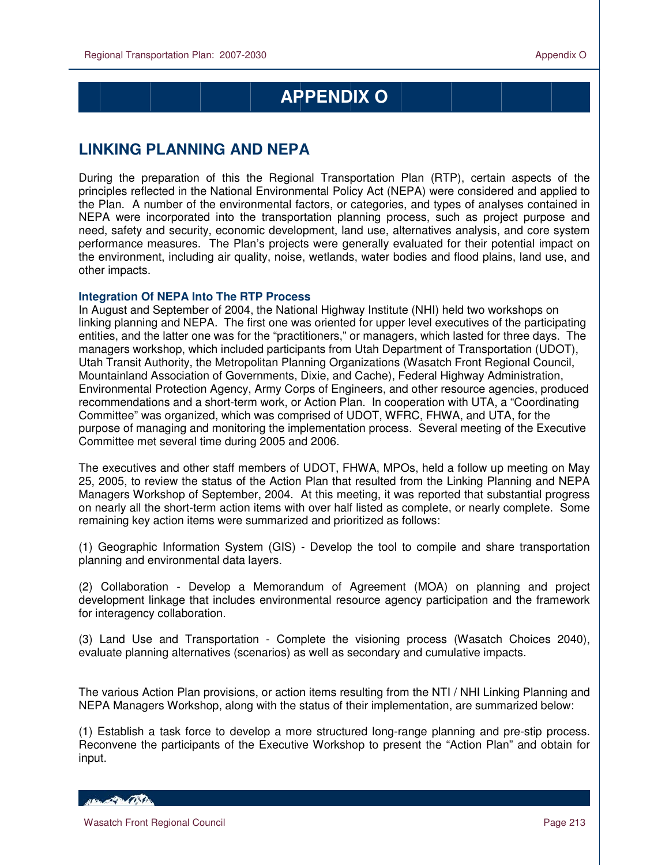## **APPENDIX O**

## **LINKING PLANNING AND NEPA**

During the preparation of this the Regional Transportation Plan (RTP), certain aspects of the principles reflected in the National Environmental Policy Act (NEPA) were considered and applied to the Plan. A number of the environmental factors, or categories, and types of analyses contained in NEPA were incorporated into the transportation planning process, such as project purpose and need, safety and security, economic development, land use, alternatives analysis, and core system performance measures. The Plan's projects were generally evaluated for their potential impact on the environment, including air quality, noise, wetlands, water bodies and flood plains, land use, and other impacts.

## **Integration Of NEPA Into The RTP Process**

In August and September of 2004, the National Highway Institute (NHI) held two workshops on linking planning and NEPA. The first one was oriented for upper level executives of the participating entities, and the latter one was for the "practitioners," or managers, which lasted for three days. The managers workshop, which included participants from Utah Department of Transportation (UDOT), Utah Transit Authority, the Metropolitan Planning Organizations (Wasatch Front Regional Council, Mountainland Association of Governments, Dixie, and Cache), Federal Highway Administration, Environmental Protection Agency, Army Corps of Engineers, and other resource agencies, produced recommendations and a short-term work, or Action Plan. In cooperation with UTA, a "Coordinating Committee" was organized, which was comprised of UDOT, WFRC, FHWA, and UTA, for the purpose of managing and monitoring the implementation process. Several meeting of the Executive Committee met several time during 2005 and 2006.

The executives and other staff members of UDOT, FHWA, MPOs, held a follow up meeting on May 25, 2005, to review the status of the Action Plan that resulted from the Linking Planning and NEPA Managers Workshop of September, 2004. At this meeting, it was reported that substantial progress on nearly all the short-term action items with over half listed as complete, or nearly complete. Some remaining key action items were summarized and prioritized as follows:

(1) Geographic Information System (GIS) - Develop the tool to compile and share transportation planning and environmental data layers.

(2) Collaboration - Develop a Memorandum of Agreement (MOA) on planning and project development linkage that includes environmental resource agency participation and the framework for interagency collaboration.

(3) Land Use and Transportation - Complete the visioning process (Wasatch Choices 2040), evaluate planning alternatives (scenarios) as well as secondary and cumulative impacts.

The various Action Plan provisions, or action items resulting from the NTI / NHI Linking Planning and NEPA Managers Workshop, along with the status of their implementation, are summarized below:

(1) Establish a task force to develop a more structured long-range planning and pre-stip process. Reconvene the participants of the Executive Workshop to present the "Action Plan" and obtain for input.

HELL CONTRACTOR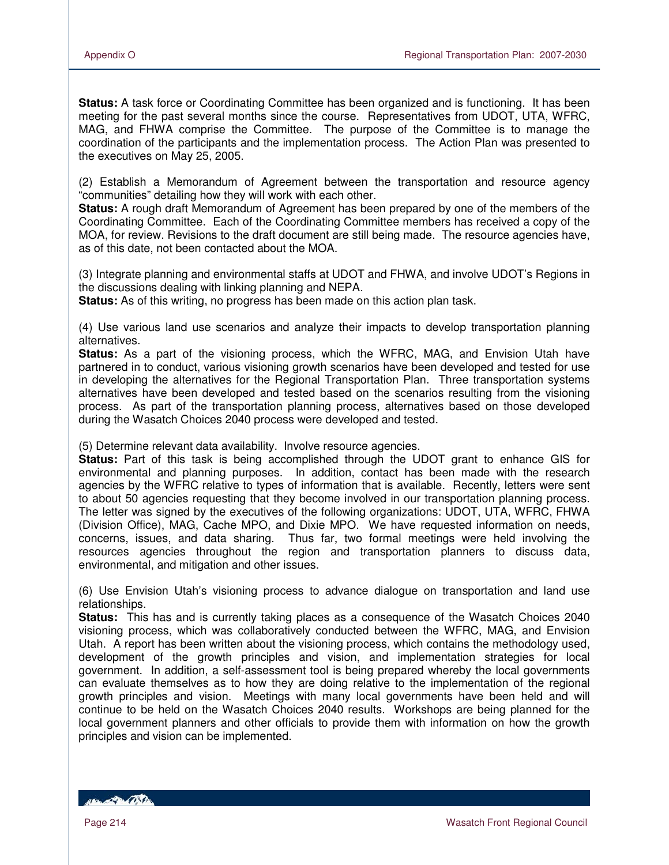**Status:** A task force or Coordinating Committee has been organized and is functioning. It has been meeting for the past several months since the course. Representatives from UDOT, UTA, WFRC, MAG, and FHWA comprise the Committee. The purpose of the Committee is to manage the coordination of the participants and the implementation process. The Action Plan was presented to the executives on May 25, 2005.

(2) Establish a Memorandum of Agreement between the transportation and resource agency "communities" detailing how they will work with each other.

**Status:** A rough draft Memorandum of Agreement has been prepared by one of the members of the Coordinating Committee. Each of the Coordinating Committee members has received a copy of the MOA, for review. Revisions to the draft document are still being made. The resource agencies have, as of this date, not been contacted about the MOA.

(3) Integrate planning and environmental staffs at UDOT and FHWA, and involve UDOT's Regions in the discussions dealing with linking planning and NEPA.

**Status:** As of this writing, no progress has been made on this action plan task.

(4) Use various land use scenarios and analyze their impacts to develop transportation planning alternatives.

**Status:** As a part of the visioning process, which the WFRC, MAG, and Envision Utah have partnered in to conduct, various visioning growth scenarios have been developed and tested for use in developing the alternatives for the Regional Transportation Plan. Three transportation systems alternatives have been developed and tested based on the scenarios resulting from the visioning process. As part of the transportation planning process, alternatives based on those developed during the Wasatch Choices 2040 process were developed and tested.

(5) Determine relevant data availability. Involve resource agencies.

**Status:** Part of this task is being accomplished through the UDOT grant to enhance GIS for environmental and planning purposes. In addition, contact has been made with the research agencies by the WFRC relative to types of information that is available. Recently, letters were sent to about 50 agencies requesting that they become involved in our transportation planning process. The letter was signed by the executives of the following organizations: UDOT, UTA, WFRC, FHWA (Division Office), MAG, Cache MPO, and Dixie MPO. We have requested information on needs, concerns, issues, and data sharing. Thus far, two formal meetings were held involving the resources agencies throughout the region and transportation planners to discuss data, environmental, and mitigation and other issues.

(6) Use Envision Utah's visioning process to advance dialogue on transportation and land use relationships.

**Status:** This has and is currently taking places as a consequence of the Wasatch Choices 2040 visioning process, which was collaboratively conducted between the WFRC, MAG, and Envision Utah. A report has been written about the visioning process, which contains the methodology used, development of the growth principles and vision, and implementation strategies for local government. In addition, a self-assessment tool is being prepared whereby the local governments can evaluate themselves as to how they are doing relative to the implementation of the regional growth principles and vision. Meetings with many local governments have been held and will continue to be held on the Wasatch Choices 2040 results. Workshops are being planned for the local government planners and other officials to provide them with information on how the growth principles and vision can be implemented.

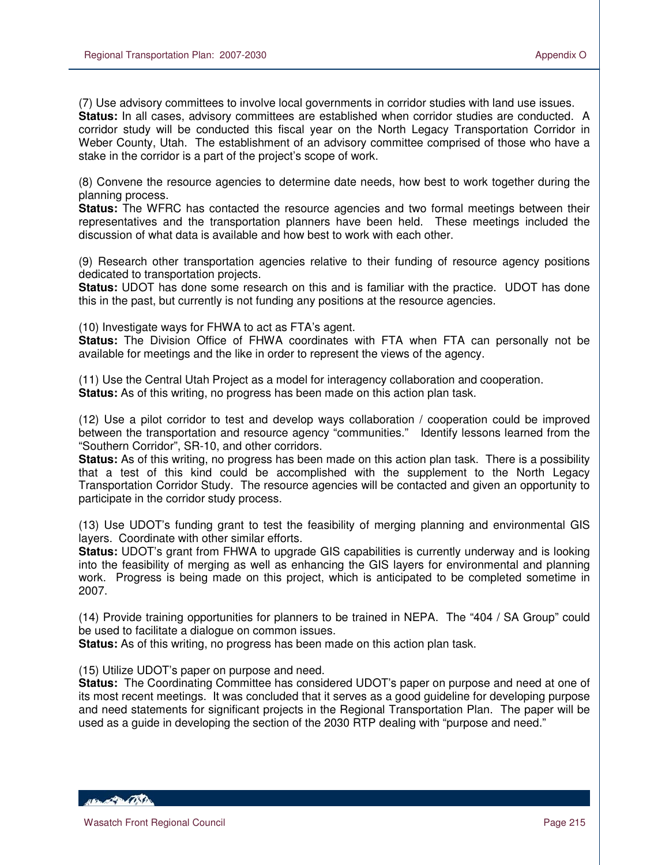(7) Use advisory committees to involve local governments in corridor studies with land use issues. **Status:** In all cases, advisory committees are established when corridor studies are conducted. A corridor study will be conducted this fiscal year on the North Legacy Transportation Corridor in Weber County, Utah. The establishment of an advisory committee comprised of those who have a stake in the corridor is a part of the project's scope of work.

(8) Convene the resource agencies to determine date needs, how best to work together during the planning process.

**Status:** The WFRC has contacted the resource agencies and two formal meetings between their representatives and the transportation planners have been held. These meetings included the discussion of what data is available and how best to work with each other.

(9) Research other transportation agencies relative to their funding of resource agency positions dedicated to transportation projects.

**Status:** UDOT has done some research on this and is familiar with the practice. UDOT has done this in the past, but currently is not funding any positions at the resource agencies.

(10) Investigate ways for FHWA to act as FTA's agent.

**Status:** The Division Office of FHWA coordinates with FTA when FTA can personally not be available for meetings and the like in order to represent the views of the agency.

(11) Use the Central Utah Project as a model for interagency collaboration and cooperation. **Status:** As of this writing, no progress has been made on this action plan task.

(12) Use a pilot corridor to test and develop ways collaboration / cooperation could be improved between the transportation and resource agency "communities." Identify lessons learned from the "Southern Corridor", SR-10, and other corridors.

**Status:** As of this writing, no progress has been made on this action plan task. There is a possibility that a test of this kind could be accomplished with the supplement to the North Legacy Transportation Corridor Study. The resource agencies will be contacted and given an opportunity to participate in the corridor study process.

(13) Use UDOT's funding grant to test the feasibility of merging planning and environmental GIS layers. Coordinate with other similar efforts.

**Status:** UDOT's grant from FHWA to upgrade GIS capabilities is currently underway and is looking into the feasibility of merging as well as enhancing the GIS layers for environmental and planning work. Progress is being made on this project, which is anticipated to be completed sometime in 2007.

(14) Provide training opportunities for planners to be trained in NEPA. The "404 / SA Group" could be used to facilitate a dialogue on common issues.

**Status:** As of this writing, no progress has been made on this action plan task.

(15) Utilize UDOT's paper on purpose and need.

**Status:** The Coordinating Committee has considered UDOT's paper on purpose and need at one of its most recent meetings. It was concluded that it serves as a good guideline for developing purpose and need statements for significant projects in the Regional Transportation Plan. The paper will be used as a guide in developing the section of the 2030 RTP dealing with "purpose and need."

*ABLACTER COMPANY*